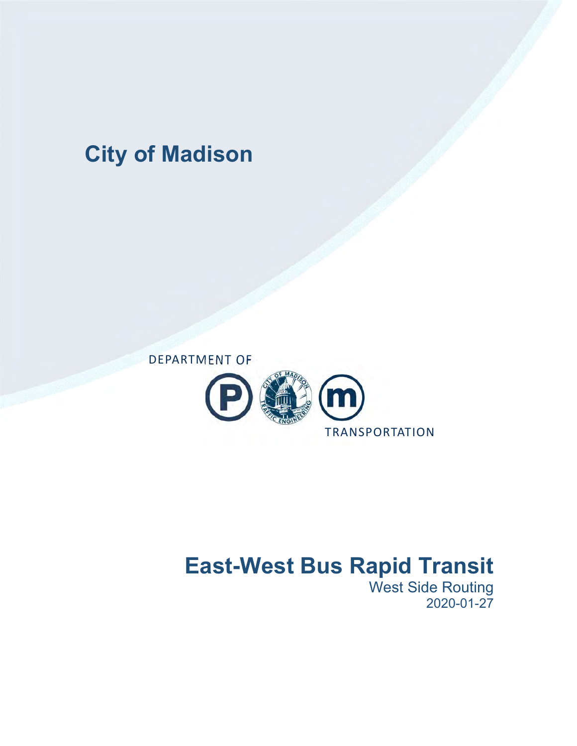## **City of Madison**



# **East-West Bus Rapid Transit**

West Side Routing 2020-01-27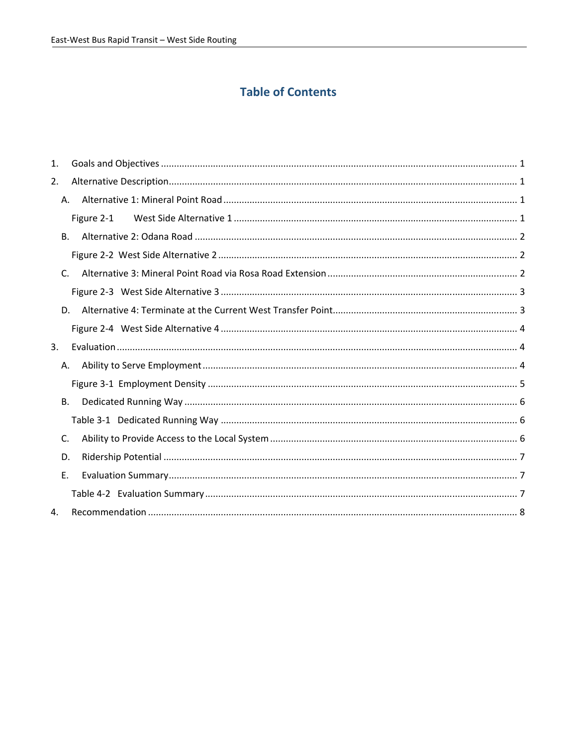## **Table of Contents**

| 1. |    |            |  |
|----|----|------------|--|
| 2. |    |            |  |
|    | А. |            |  |
|    |    | Figure 2-1 |  |
|    | В. |            |  |
|    |    |            |  |
|    | C. |            |  |
|    |    |            |  |
|    | D. |            |  |
|    |    |            |  |
| 3. |    |            |  |
|    | А. |            |  |
|    |    |            |  |
|    | В. |            |  |
|    |    |            |  |
|    | C. |            |  |
|    | D. |            |  |
|    | Е. |            |  |
|    |    |            |  |
| 4. |    |            |  |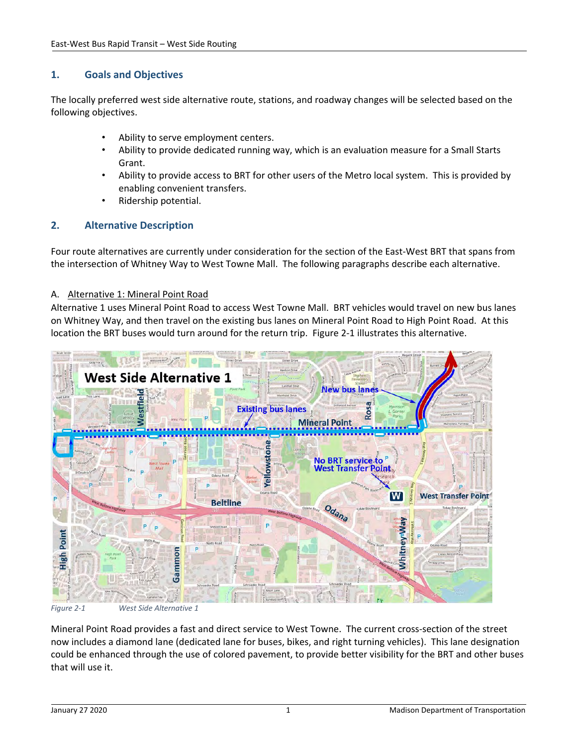## **1. Goals and Objectives**

The locally preferred west side alternative route, stations, and roadway changes will be selected based on the following objectives.

- Ability to serve employment centers.
- Ability to provide dedicated running way, which is an evaluation measure for a Small Starts Grant.
- Ability to provide access to BRT for other users of the Metro local system. This is provided by enabling convenient transfers.
- Ridership potential.

## **2. Alternative Description**

Four route alternatives are currently under consideration for the section of the East‐West BRT that spans from the intersection of Whitney Way to West Towne Mall. The following paragraphs describe each alternative.

#### A. Alternative 1: Mineral Point Road

Alternative 1 uses Mineral Point Road to access West Towne Mall. BRT vehicles would travel on new bus lanes on Whitney Way, and then travel on the existing bus lanes on Mineral Point Road to High Point Road. At this location the BRT buses would turn around for the return trip. Figure 2-1 illustrates this alternative.



Mineral Point Road provides a fast and direct service to West Towne. The current cross‐section of the street now includes a diamond lane (dedicated lane for buses, bikes, and right turning vehicles). This lane designation could be enhanced through the use of colored pavement, to provide better visibility for the BRT and other buses that will use it.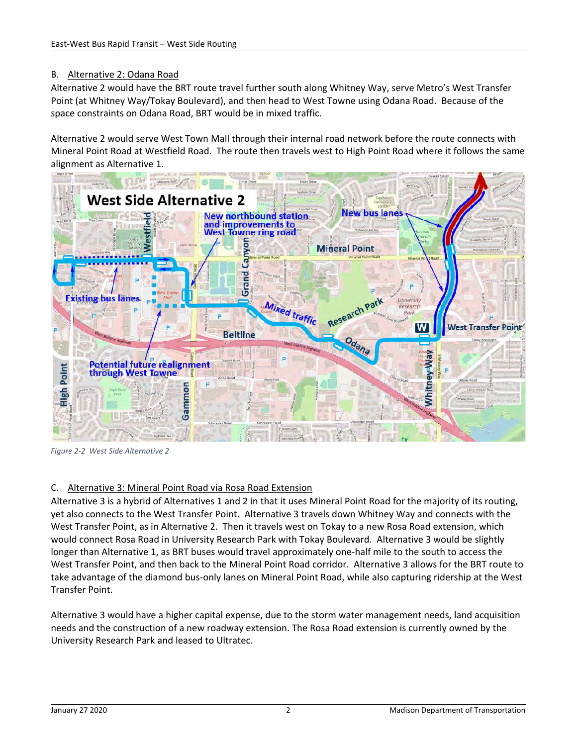## B. Alternative 2: Odana Road

Alternative 2 would have the BRT route travel further south along Whitney Way, serve Metro's West Transfer Point (at Whitney Way/Tokay Boulevard), and then head to West Towne using Odana Road. Because of the space constraints on Odana Road, BRT would be in mixed traffic.

Alternative 2 would serve West Town Mall through their internal road network before the route connects with Mineral Point Road at Westfield Road. The route then travels west to High Point Road where it follows the same alignment as Alternative 1.



*Figure 2‐2 West Side Alternative 2*

### C. Alternative 3: Mineral Point Road via Rosa Road Extension

Alternative 3 is a hybrid of Alternatives 1 and 2 in that it uses Mineral Point Road for the majority of its routing, yet also connects to the West Transfer Point. Alternative 3 travels down Whitney Way and connects with the West Transfer Point, as in Alternative 2. Then it travels west on Tokay to a new Rosa Road extension, which would connect Rosa Road in University Research Park with Tokay Boulevard. Alternative 3 would be slightly longer than Alternative 1, as BRT buses would travel approximately one‐half mile to the south to access the West Transfer Point, and then back to the Mineral Point Road corridor. Alternative 3 allows for the BRT route to take advantage of the diamond bus‐only lanes on Mineral Point Road, while also capturing ridership at the West Transfer Point.

Alternative 3 would have a higher capital expense, due to the storm water management needs, land acquisition needs and the construction of a new roadway extension. The Rosa Road extension is currently owned by the University Research Park and leased to Ultratec.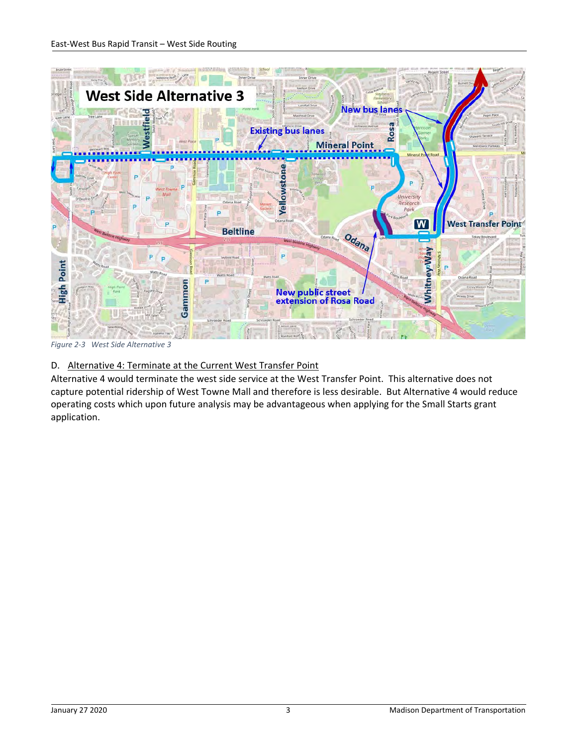

*Figure 2‐3 West Side Alternative 3* 

## D. Alternative 4: Terminate at the Current West Transfer Point

Alternative 4 would terminate the west side service at the West Transfer Point. This alternative does not capture potential ridership of West Towne Mall and therefore is less desirable. But Alternative 4 would reduce operating costs which upon future analysis may be advantageous when applying for the Small Starts grant application.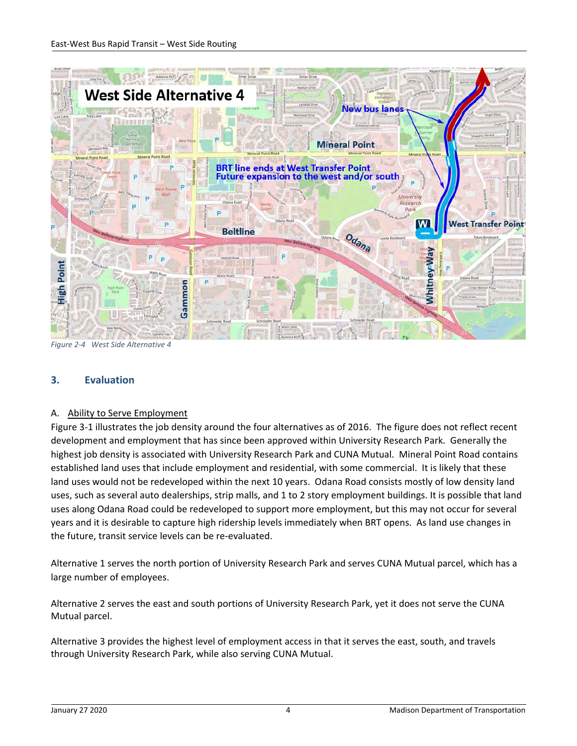

*Figure 2‐4 West Side Alternative 4*

## **3. Evaluation**

### A. Ability to Serve Employment

Figure 3‐1 illustrates the job density around the four alternatives as of 2016. The figure does not reflect recent development and employment that has since been approved within University Research Park. Generally the highest job density is associated with University Research Park and CUNA Mutual. Mineral Point Road contains established land uses that include employment and residential, with some commercial. It is likely that these land uses would not be redeveloped within the next 10 years. Odana Road consists mostly of low density land uses, such as several auto dealerships, strip malls, and 1 to 2 story employment buildings. It is possible that land uses along Odana Road could be redeveloped to support more employment, but this may not occur for several years and it is desirable to capture high ridership levels immediately when BRT opens. As land use changes in the future, transit service levels can be re‐evaluated.

Alternative 1 serves the north portion of University Research Park and serves CUNA Mutual parcel, which has a large number of employees.

Alternative 2 serves the east and south portions of University Research Park, yet it does not serve the CUNA Mutual parcel.

Alternative 3 provides the highest level of employment access in that it serves the east, south, and travels through University Research Park, while also serving CUNA Mutual.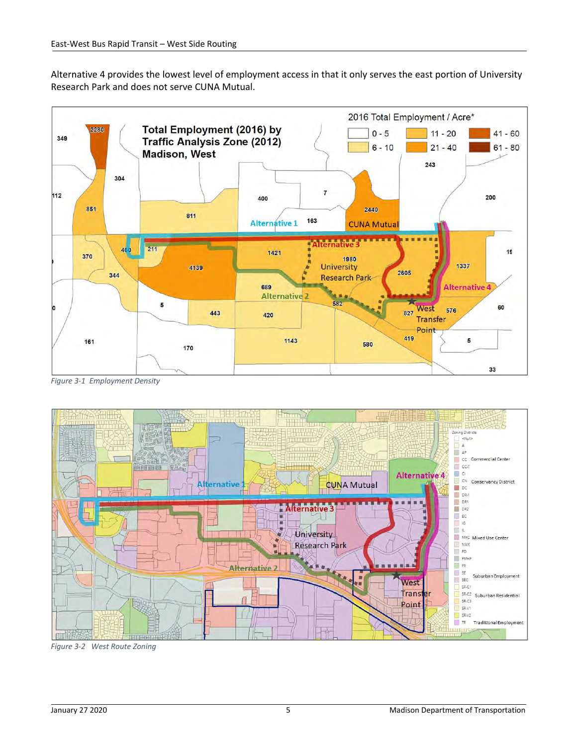Alternative 4 provides the lowest level of employment access in that it only serves the east portion of University Research Park and does not serve CUNA Mutual.



*Figure 3‐1 Employment Density*



*Figure 3‐2 West Route Zoning*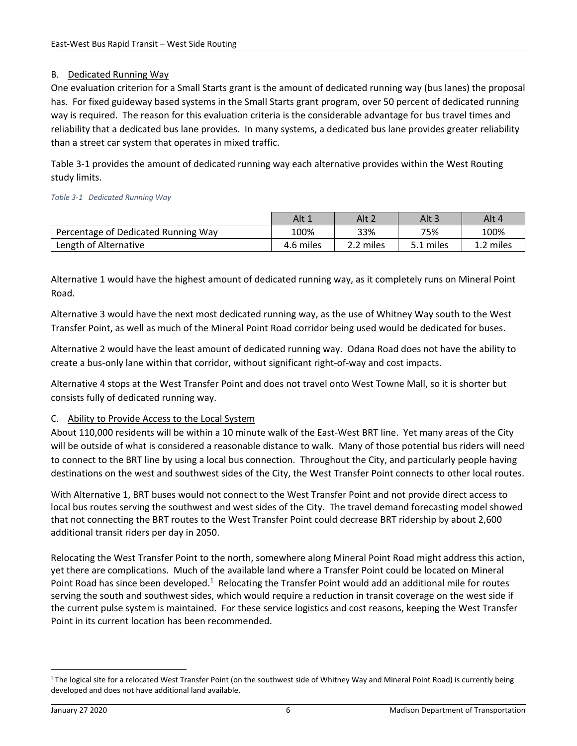## B. Dedicated Running Way

One evaluation criterion for a Small Starts grant is the amount of dedicated running way (bus lanes) the proposal has. For fixed guideway based systems in the Small Starts grant program, over 50 percent of dedicated running way is required. The reason for this evaluation criteria is the considerable advantage for bus travel times and reliability that a dedicated bus lane provides. In many systems, a dedicated bus lane provides greater reliability than a street car system that operates in mixed traffic.

Table 3‐1 provides the amount of dedicated running way each alternative provides within the West Routing study limits.

#### *Table 3‐1 Dedicated Running Way*

|                                     | Alt 1     | Alt 2     | Alt 3     | Alt 4     |
|-------------------------------------|-----------|-----------|-----------|-----------|
| Percentage of Dedicated Running Way | 100%      | 33%       | 75%       | 100%      |
| Length of Alternative               | 4.6 miles | 2.2 miles | 5.1 miles | 1.2 miles |

Alternative 1 would have the highest amount of dedicated running way, as it completely runs on Mineral Point Road.

Alternative 3 would have the next most dedicated running way, as the use of Whitney Way south to the West Transfer Point, as well as much of the Mineral Point Road corridor being used would be dedicated for buses.

Alternative 2 would have the least amount of dedicated running way. Odana Road does not have the ability to create a bus‐only lane within that corridor, without significant right‐of‐way and cost impacts.

Alternative 4 stops at the West Transfer Point and does not travel onto West Towne Mall, so it is shorter but consists fully of dedicated running way.

### C. Ability to Provide Access to the Local System

About 110,000 residents will be within a 10 minute walk of the East‐West BRT line. Yet many areas of the City will be outside of what is considered a reasonable distance to walk. Many of those potential bus riders will need to connect to the BRT line by using a local bus connection. Throughout the City, and particularly people having destinations on the west and southwest sides of the City, the West Transfer Point connects to other local routes.

With Alternative 1, BRT buses would not connect to the West Transfer Point and not provide direct access to local bus routes serving the southwest and west sides of the City. The travel demand forecasting model showed that not connecting the BRT routes to the West Transfer Point could decrease BRT ridership by about 2,600 additional transit riders per day in 2050.

Relocating the West Transfer Point to the north, somewhere along Mineral Point Road might address this action, yet there are complications. Much of the available land where a Transfer Point could be located on Mineral Point Road has since been developed. $1$  Relocating the Transfer Point would add an additional mile for routes serving the south and southwest sides, which would require a reduction in transit coverage on the west side if the current pulse system is maintained. For these service logistics and cost reasons, keeping the West Transfer Point in its current location has been recommended.

<sup>&</sup>lt;sup>1</sup> The logical site for a relocated West Transfer Point (on the southwest side of Whitney Way and Mineral Point Road) is currently being developed and does not have additional land available.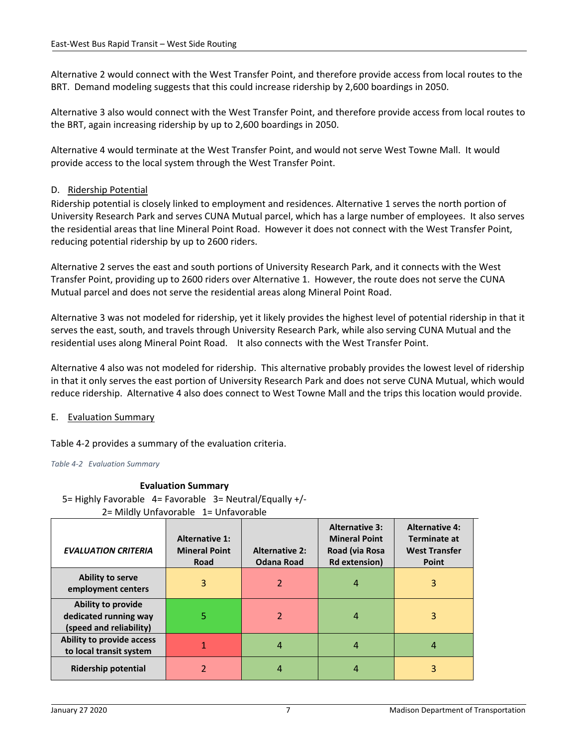Alternative 2 would connect with the West Transfer Point, and therefore provide access from local routes to the BRT. Demand modeling suggests that this could increase ridership by 2,600 boardings in 2050.

Alternative 3 also would connect with the West Transfer Point, and therefore provide access from local routes to the BRT, again increasing ridership by up to 2,600 boardings in 2050.

Alternative 4 would terminate at the West Transfer Point, and would not serve West Towne Mall. It would provide access to the local system through the West Transfer Point.

#### D. Ridership Potential

Ridership potential is closely linked to employment and residences. Alternative 1 serves the north portion of University Research Park and serves CUNA Mutual parcel, which has a large number of employees. It also serves the residential areas that line Mineral Point Road. However it does not connect with the West Transfer Point, reducing potential ridership by up to 2600 riders.

Alternative 2 serves the east and south portions of University Research Park, and it connects with the West Transfer Point, providing up to 2600 riders over Alternative 1. However, the route does not serve the CUNA Mutual parcel and does not serve the residential areas along Mineral Point Road.

Alternative 3 was not modeled for ridership, yet it likely provides the highest level of potential ridership in that it serves the east, south, and travels through University Research Park, while also serving CUNA Mutual and the residential uses along Mineral Point Road. It also connects with the West Transfer Point.

Alternative 4 also was not modeled for ridership. This alternative probably provides the lowest level of ridership in that it only serves the east portion of University Research Park and does not serve CUNA Mutual, which would reduce ridership. Alternative 4 also does connect to West Towne Mall and the trips this location would provide.

#### E. Evaluation Summary

Table 4‐2 provides a summary of the evaluation criteria.

*Table 4‐2 Evaluation Summary* 

#### **Evaluation Summary**

5= Highly Favorable 4= Favorable 3= Neutral/Equally +/‐ 2= Mildly Unfavorable 1= Unfavorable

| <b>EVALUATION CRITERIA</b>                                                    | <b>Alternative 1:</b><br><b>Mineral Point</b><br>Road | <b>Alternative 2:</b><br><b>Odana Road</b> | <b>Alternative 3:</b><br><b>Mineral Point</b><br>Road (via Rosa<br><b>Rd extension)</b> | <b>Alternative 4:</b><br>Terminate at<br><b>West Transfer</b><br><b>Point</b> |
|-------------------------------------------------------------------------------|-------------------------------------------------------|--------------------------------------------|-----------------------------------------------------------------------------------------|-------------------------------------------------------------------------------|
| <b>Ability to serve</b><br>employment centers                                 | 3                                                     | $\mathfrak z$                              | 4                                                                                       | 3                                                                             |
| <b>Ability to provide</b><br>dedicated running way<br>(speed and reliability) | 5                                                     | $\mathfrak z$                              |                                                                                         | 3                                                                             |
| Ability to provide access<br>to local transit system                          |                                                       | 4                                          | 4                                                                                       |                                                                               |
| <b>Ridership potential</b>                                                    |                                                       |                                            |                                                                                         |                                                                               |